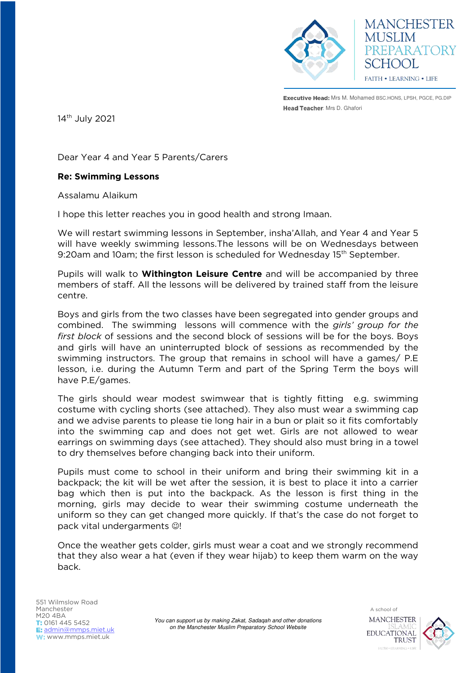

**MANCHESTER MUSLIM** PREPARATORY **HOOL** FAITH . LEARNING . LIFE

Executive Head: Mrs M. Mohamed BSC.HONS, LPSH, PGCE, PG.DIP Head Teacher: Mrs D. Ghafori

14<sup>th</sup> July 2021

Dear Year 4 and Year 5 Parents/Carers

## **Re: Swimming Lessons**

Assalamu Alaikum

I hope this letter reaches you in good health and strong Imaan.

We will restart swimming lessons in September, insha'Allah, and Year 4 and Year 5 will have weekly swimming lessons.The lessons will be on Wednesdays between 9:20am and 10am; the first lesson is scheduled for Wednesday 15<sup>th</sup> September.

Pupils will walk to **Withington Leisure Centre** and will be accompanied by three members of staff. All the lessons will be delivered by trained staff from the leisure centre.

Boys and girls from the two classes have been segregated into gender groups and combined. The swimming lessons will commence with the *girls' group for the first block* of sessions and the second block of sessions will be for the boys. Boys and girls will have an uninterrupted block of sessions as recommended by the swimming instructors. The group that remains in school will have a games/ P.E lesson, i.e. during the Autumn Term and part of the Spring Term the boys will have P.E/games.

The girls should wear modest swimwear that is tightly fitting e.g. swimming costume with cycling shorts (see attached). They also must wear a swimming cap and we advise parents to please tie long hair in a bun or plait so it fits comfortably into the swimming cap and does not get wet. Girls are not allowed to wear earrings on swimming days (see attached). They should also must bring in a towel to dry themselves before changing back into their uniform.

Pupils must come to school in their uniform and bring their swimming kit in a backpack; the kit will be wet after the session, it is best to place it into a carrier bag which then is put into the backpack. As the lesson is first thing in the morning, girls may decide to wear their swimming costume underneath the uniform so they can get changed more quickly. If that's the case do not forget to pack vital undergarments  $\odot$ !

Once the weather gets colder, girls must wear a coat and we strongly recommend that they also wear a hat (even if they wear hijab) to keep them warm on the way back.